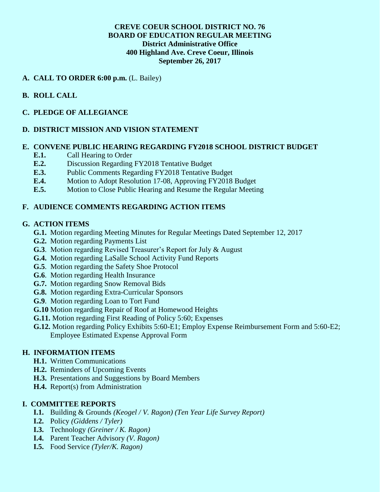### **CREVE COEUR SCHOOL DISTRICT NO. 76 BOARD OF EDUCATION REGULAR MEETING District Administrative Office 400 Highland Ave. Creve Coeur, Illinois September 26, 2017**

## **A. CALL TO ORDER 6:00 p.m.** (L. Bailey)

## **B. ROLL CALL**

## **C. PLEDGE OF ALLEGIANCE**

## **D. DISTRICT MISSION AND VISION STATEMENT**

## **E. CONVENE PUBLIC HEARING REGARDING FY2018 SCHOOL DISTRICT BUDGET**

- **E.1.** Call Hearing to Order
- **E.2.** Discussion Regarding FY2018 Tentative Budget
- **E.3.** Public Comments Regarding FY2018 Tentative Budget
- **E.4.** Motion to Adopt Resolution 17-08, Approving FY2018 Budget
- **E.5.** Motion to Close Public Hearing and Resume the Regular Meeting

# **F. AUDIENCE COMMENTS REGARDING ACTION ITEMS**

## **G. ACTION ITEMS**

- **G.1.** Motion regarding Meeting Minutes for Regular Meetings Dated September 12, 2017
- **G.2.** Motion regarding Payments List
- **G.3**. Motion regarding Revised Treasurer's Report for July & August
- **G.4.** Motion regarding LaSalle School Activity Fund Reports
- **G.5**. Motion regarding the Safety Shoe Protocol
- **G.6**. Motion regarding Health Insurance
- **G.7.** Motion regarding Snow Removal Bids
- **G.8.** Motion regarding Extra-Curricular Sponsors
- **G.9**. Motion regarding Loan to Tort Fund
- **G.10** Motion regarding Repair of Roof at Homewood Heights
- **G.11.** Motion regarding First Reading of Policy 5:60; Expenses
- **G.12.** Motion regarding Policy Exhibits 5:60-E1; Employ Expense Reimbursement Form and 5:60-E2; Employee Estimated Expense Approval Form

# **H. INFORMATION ITEMS**

- **H.1.** Written Communications
- **H.2.** Reminders of Upcoming Events
- **H.3.** Presentations and Suggestions by Board Members
- **H.4.** Report(s) from Administration

# **I. COMMITTEE REPORTS**

- **I.1.** Building & Grounds *(Keogel / V. Ragon) (Ten Year Life Survey Report)*
- **I.2.** Policy *(Giddens / Tyler)*
- **I.3.** Technology *(Greiner / K. Ragon)*
- **I.4.** Parent Teacher Advisory *(V. Ragon)*
- **I.5.** Food Service *(Tyler/K. Ragon)*